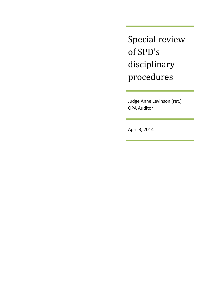Special review of SPD's disciplinary procedures

Judge Anne Levinson (ret.) OPA Auditor

April 3, 2014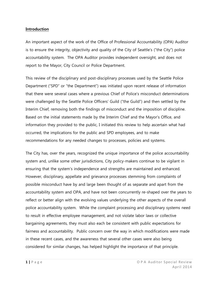### **Introduction**

An important aspect of the work of the Office of Professional Accountability (OPA) Auditor is to ensure the integrity, objectivity and quality of the City of Seattle's ("the City") police accountability system. The OPA Auditor provides independent oversight, and does not report to the Mayor, City Council or Police Department.

This review of the disciplinary and post-disciplinary processes used by the Seattle Police Department ("SPD" or "the Department") was initiated upon recent release of information that there were several cases where a previous Chief of Police's misconduct determinations were challenged by the Seattle Police Officers' Guild ("the Guild") and then settled by the Interim Chief, removing both the findings of misconduct and the imposition of discipline. Based on the initial statements made by the Interim Chief and the Mayor's Office, and information they provided to the public, I initiated this review to help ascertain what had occurred, the implications for the public and SPD employees, and to make recommendations for any needed changes to processes, policies and systems.

The City has, over the years, recognized the unique importance of the police accountability system and, unlike some other jurisdictions, City policy-makers continue to be vigilant in ensuring that the system's independence and strengths are maintained and enhanced. However, disciplinary, appellate and grievance processes stemming from complaints of possible misconduct have by and large been thought of as separate and apart from the accountability system and OPA, and have not been concurrently re-shaped over the years to reflect or better align with the evolving values underlying the other aspects of the overall police accountability system. While the complaint processing and disciplinary systems need to result in effective employee management, and not violate labor laws or collective bargaining agreements, they must also each be consistent with public expectations for fairness and accountability. Public concern over the way in which modifications were made in these recent cases, and the awareness that several other cases were also being considered for similar changes, has helped highlight the importance of that principle.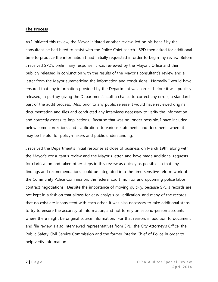### **The Process**

As I initiated this review, the Mayor initiated another review, led on his behalf by the consultant he had hired to assist with the Police Chief search. SPD then asked for additional time to produce the information I had initially requested in order to begin my review. Before I received SPD's preliminary response, it was reviewed by the Mayor's Office and then publicly released in conjunction with the results of the Mayor's consultant's review and a letter from the Mayor summarizing the information and conclusions. Normally I would have ensured that any information provided by the Department was correct before it was publicly released, in part by giving the Department's staff a chance to correct any errors, a standard part of the audit process. Also prior to any public release, I would have reviewed original documentation and files and conducted any interviews necessary to verify the information and correctly assess its implications. Because that was no longer possible, I have included below some corrections and clarifications to various statements and documents where it may be helpful for policy-makers and public understanding.

I received the Department's initial response at close of business on March 19th, along with the Mayor's consultant's review and the Mayor's letter, and have made additional requests for clarification and taken other steps in this review as quickly as possible so that any findings and recommendations could be integrated into the time-sensitive reform work of the Community Police Commission, the federal court monitor and upcoming police labor contract negotiations. Despite the importance of moving quickly, because SPD's records are not kept in a fashion that allows for easy analysis or verification, and many of the records that do exist are inconsistent with each other, it was also necessary to take additional steps to try to ensure the accuracy of information, and not to rely on second-person accounts where there might be original source information. For that reason, in addition to document and file review, I also interviewed representatives from SPD, the City Attorney's Office, the Public Safety Civil Service Commission and the former Interim Chief of Police in order to help verify information.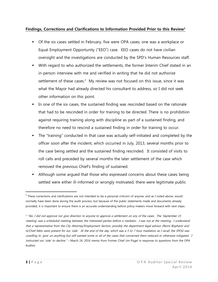## **Findings, Corrections and Clarifications to Information Provided Prior to this Review<sup>1</sup>**

- Of the six cases settled in February, five were OPA cases; one was a workplace or Equal Employment Opportunity ("EEO") case. EEO cases do not have civilian oversight and the investigations are conducted by the SPD's Human Resources staff.
- With regard to who authorized the settlements, the former Interim Chief stated in an in-person interview with me and verified in writing that he did not authorize settlement of these cases.<sup>2</sup> My review was not focused on this issue, since it was what the Mayor had already directed his consultant to address, so I did not seek other information on this point.
- In one of the six cases, the sustained finding was rescinded based on the rationale that had to be rescinded in order for training to be directed. There is no prohibition against requiring training along with discipline as part of a sustained finding, and therefore no need to rescind a sustained finding in order for training to occur.
- The "training" conducted in that case was actually self-initiated and completed by the officer soon after the incident, which occurred in July, 2013, several months prior to the case being settled and the sustained finding rescinded. It consisted of visits to roll calls and preceded by several months the later settlement of the case which removed the previous Chief's finding of sustained.
- Although some argued that those who expressed concerns about these cases being settled were either ill-informed or wrongly motivated, there were legitimate public

 $\overline{\phantom{a}}$ 

 $1$  These corrections and clarifications are not intended to be a personal criticism of anyone, and as I noted above, would normally have been done during the audit process, but because of the public statements made and documents already provided, it is important to ensure there is an accurate understanding before policy-makers move forward with next steps.

<sup>2</sup> "No, I did not approve nor give direction to anyone to approve a settlement on any of the cases. The 'September 15 meeting' was a scheduled meeting between the interested parties before a mediator. I was not at the meeting. I understand that a representative from the City Attorney/Employment Section, possibly the department legal advisor (Renni Bispham) and A/Chief Metz were present for our 'side'. At the end of the day, which was a 5 to 7 hour mediation as I recall, the SPOG was unwilling to 'give' on anything but still wanted some or all of the cases that concerned them reduced or otherwise mitigated. I instructed our 'side' to decline." - March 24, 2014 memo from Former Chief Jim Pugel in response to questions from the OPA Auditor.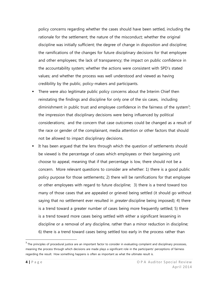policy concerns regarding whether the cases should have been settled, including the rationale for the settlement; the nature of the misconduct; whether the original discipline was initially sufficient; the degree of change in disposition and discipline; the ramifications of the changes for future disciplinary decisions for that employee and other employees; the lack of transparency; the impact on public confidence in the accountability system; whether the actions were consistent with SPD's stated values; and whether the process was well understood and viewed as having credibility by the public, policy-makers and participants.

- There were also legitimate public policy concerns about the Interim Chief then reinstating the findings and discipline for only one of the six cases, including diminishment in public trust and employee confidence in the fairness of the system<sup>3</sup>; the impression that disciplinary decisions were being influenced by political considerations; and the concern that case outcomes could be changed as a result of the race or gender of the complainant, media attention or other factors that should not be allowed to impact disciplinary decisions.
- It has been argued that the lens through which the question of settlements should be viewed is the percentage of cases which employees or their bargaining unit choose to appeal, meaning that if that percentage is low, there should not be a concern. More relevant questions to consider are whether: 1) there is a good public policy purpose for those settlements; 2) there will be ramifications for that employee or other employees with regard to future discipline; 3) there is a trend toward too many of those cases that are appealed or grieved being settled (it should go without saying that no settlement ever resulted in *greater* discipline being imposed); 4) there is a trend toward a greater number of cases being more frequently settled; 5) there is a trend toward more cases being settled with either a significant lessening in discipline or a removal of any discipline, rather than a minor reduction in discipline; 6) there is a trend toward cases being settled too early in the process rather than

 $\overline{\phantom{a}}$ 

 $^3$  The principles of procedural justice are an important factor to consider in evaluating complaint and disciplinary processes, meaning the process through which decisions are made plays a significant role in the participants' perceptions of fairness regarding the result. How something happens is often as important as what the ultimate result is.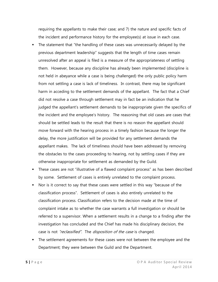requiring the appellants to make their case; and 7) the nature and specific facts of the incident and performance history for the employee(s) at issue in each case.

- The statement that "the handling of these cases was unnecessarily delayed by the previous department leadership" suggests that the length of time cases remain unresolved after an appeal is filed is a measure of the appropriateness of settling them. However, because any discipline has already been implemented (discipline is not held in abeyance while a case is being challenged) the only public policy harm from not settling a case is lack of timeliness. In contrast, there may be significant harm in acceding to the settlement demands of the appellant. The fact that a Chief did not resolve a case through settlement may in fact be an indication that he judged the appellant's settlement demands to be inappropriate given the specifics of the incident and the employee's history. The reasoning that old cases are cases that should be settled leads to the result that there is no reason the appellant should move forward with the hearing process in a timely fashion because the longer the delay, the more justification will be provided for any settlement demands the appellant makes. The lack of timeliness should have been addressed by removing the obstacles to the cases proceeding to hearing, not by settling cases if they are otherwise inappropriate for settlement as demanded by the Guild.
- These cases are not "illustrative of a flawed complaint process" as has been described by some. Settlement of cases is entirely unrelated to the complaint process.
- Nor is it correct to say that these cases were settled in this way "because of the classification process". Settlement of cases is also entirely unrelated to the classification process. Classification refers to the decision made at the time of complaint intake as to whether the case warrants a full investigation or should be referred to a supervisor. When a settlement results in a change to a finding after the investigation has concluded and the Chief has made his disciplinary decision, the case is not "reclassified". The disposition of the case is changed.
- The settlement agreements for these cases were not between the employee and the Department; they were between the Guild and the Department.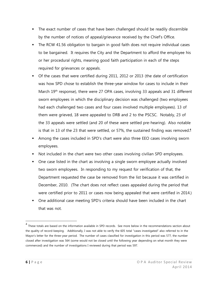- The exact number of cases that have been challenged should be readily discernible by the number of notices of appeal/grievance received by the Chief's Office.
- The RCW 41.56 obligation to bargain in good faith does not require individual cases to be bargained. It requires the City and the Department to afford the employee his or her procedural rights, meaning good faith participation in each of the steps required for grievances or appeals.
- Of the cases that were certified during 2011, 2012 or 2013 (the date of certification was how SPD chose to establish the three-year window for cases to include in their March 19<sup>th</sup> response), there were 27 OPA cases, involving 33 appeals and 31 different sworn employees in which the disciplinary decision was challenged (two employees had each challenged two cases and four cases involved multiple employees). 13 of them were grieved, 18 were appealed to DRB and 2 to the PSCSC. Notably, 23 of the 33 appeals were settled (and 20 of these were settled pre-hearing). Also notable is that in 13 of the 23 that were settled, or 57%, the sustained finding was removed. **4**
- Among the cases included in SPD's chart were also three EEO cases involving sworn employees.
- Not included in the chart were two other cases involving civilian SPD employees.
- One case listed in the chart as involving a single sworn employee actually involved two sworn employees. In responding to my request for verification of that, the Department requested the case be removed from the list because it was certified in December, 2010. (The chart does not reflect cases appealed during the period that were certified prior to 2011 or cases now being appealed that were certified in 2014.)
- One additional case meeting SPD's criteria should have been included in the chart that was not.

 $\overline{a}$ 

<sup>&</sup>lt;sup>4</sup> These totals are based on the information available in SPD records. See more below in the recommendations section about the quality of record-keeping. Additionally, I was not able to verify the 605 total "cases investigated" also referred to in the Mayor's letter for the three-year period. The number of cases classified for investigation in this period was 577, the number closed after investigation was 564 (some would not be closed until the following year depending on what month they were commenced) and the number of investigations I reviewed during that period was 597.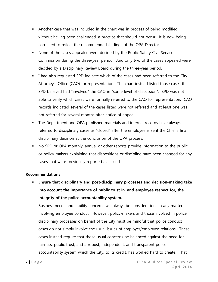- Another case that was included in the chart was in process of being modified without having been challenged, a practice that should not occur. It is now being corrected to reflect the recommended findings of the OPA Director.
- None of the cases appealed were decided by the Public Safety Civil Service Commission during the three-year period. And only two of the cases appealed were decided by a Disciplinary Review Board during the three-year period.
- I had also requested SPD indicate which of the cases had been referred to the City Attorney's Office (CAO) for representation. The chart instead listed those cases that SPD believed had "involved" the CAO in "some level of discussion". SPD was not able to verify which cases were formally referred to the CAO for representation. CAO records indicated several of the cases listed were not referred and at least one was not referred for several months after notice of appeal.
- The Department and OPA published materials and internal records have always referred to disciplinary cases as "closed" after the employee is sent the Chief's final disciplinary decision at the conclusion of the OPA process.
- No SPD or OPA monthly, annual or other reports provide information to the public or policy-makers explaining that dispositions or discipline have been changed for any cases that were previously reported as closed.

## **Recommendations**

 **Ensure that disciplinary and post-disciplinary processes and decision-making take into account the importance of public trust in, and employee respect for, the integrity of the police accountability system.** 

Business needs and liability concerns will always be considerations in any matter involving employee conduct. However, policy-makers and those involved in police disciplinary processes on behalf of the City must be mindful that police conduct cases do not simply involve the usual issues of employer/employee relations. These cases instead require that those usual concerns be balanced against the need for fairness, public trust, and a robust, independent, and transparent police accountability system which the City, to its credit, has worked hard to create. That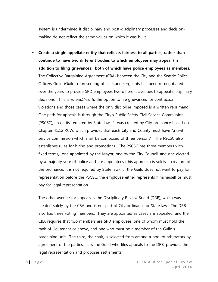system is undermined if disciplinary and post-disciplinary processes and decisionmaking do not reflect the same values on which it was built.

 **Create a single appellate entity that reflects fairness to all parties, rather than continue to have two different bodies to which employees may appeal (in addition to filing grievances), both of which have police employees as members.**  The Collective Bargaining Agreement (CBA) between the City and the Seattle Police Officers Guild (Guild) representing officers and sergeants has been re-negotiated over the years to provide SPD employees two different avenues to appeal disciplinary decisions. This is *in addition to* the option to file grievances for contractual violations and those cases where the only discipline imposed is a written reprimand. One path for appeals is through the City's Public Safety Civil Service Commission (PSCSC), an entity required by State law. It was created by City ordinance based on Chapter 41.12 RCW, which provides that each City and County must have "a civil service commission which shall be composed of three persons". The PSCSC also establishes rules for hiring and promotions. The PSCSC has three members with fixed terms, one appointed by the Mayor, one by the City Council, and one elected by a majority vote of police and fire appointees (this approach is solely a creature of the ordinance; it is not required by State law). If the Guild does not want to pay for representation before the PSCSC, the employee either represents him/herself or must pay for legal representation.

The other avenue for appeals is the Disciplinary Review Board (DRB), which was created solely by the CBA and is not part of City ordinance or State law. The DRB also has three voting members. They are appointed as cases are appealed, and the CBA requires that two members are SPD employees, one of whom must hold the rank of Lieutenant or above, and one who must be a member of the Guild's bargaining unit. The third, the chair, is selected from among a pool of arbitrators by agreement of the parties. It is the Guild who files appeals to the DRB, provides the legal representation and proposes settlements.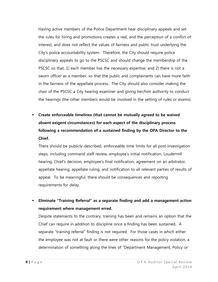Having active members of the Police Department hear disciplinary appeals and set the rules for hiring and promotions creates a real, and the perception of a conflict of interest, and does not reflect the values of fairness and public trust underlying the City's police accountability system. Therefore, the City should require police disciplinary appeals to go to the PSCSC and should change the membership of the PSCSC so that: 1) each member has the necessary expertise; and 2) there is not a sworn officer as a member, so that the public and complainants can have more faith in the fairness of the appellate process. The City should also consider making the chair of the PSCSC a City hearing examiner and giving her/him authority to conduct the hearings (the other members would be involved in the setting of rules or exams).

 **Create enforceable timelines (that cannot be mutually agreed to be waived absent exigent circumstances) for each aspect of the disciplinary process following a recommendation of a sustained finding by the OPA Director to the Chief.** 

There should be publicly-described, enforceable, time limits for all post-investigation steps, including command staff review, employee's initial notification, Loudermill hearing, Chief's decision, employee's final notification, agreement on an arbitrator, appellate hearing, appellate ruling, and notification to all relevant parties of results of appeal. To be meaningful, there should be consequences and reporting requirements for delay.

 **Eliminate "Training Referral" as a separate finding and add a management action requirement where management erred.** 

Despite statements to the contrary, training has been and remains an option that the Chief can require in addition to discipline once a finding has been sustained. A separate "training referral" finding is not required. For those cases in which either the employee was not at fault or there were other reasons for the policy violation, a determination of something along the lines of "Department Management, Policy or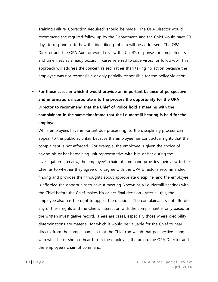Training Failure: Correction Required" should be made. The OPA Director would recommend the required follow-up by the Department, and the Chief would have 30 days to respond as to how the identified problem will be addressed. The OPA Director and the OPA Auditor would review the Chief's response for completeness and timeliness as already occurs in cases referred to supervisors for follow-up. This approach will address the concern raised, rather than taking no action because the employee was not responsible or only partially responsible for the policy violation.

 **For those cases in which it would provide an important balance of perspective and information, incorporate into the process the opportunity for the OPA Director to recommend that the Chief of Police hold a meeting with the complainant in the same timeframe that the Loudermill hearing is held for the employee.**

While employees have important due process rights, the disciplinary process can appear to the public as unfair because the employee has contractual rights that the complainant is not afforded. For example, the employee is given the choice of having his or her bargaining unit representative with him or her during the investigation interview, the employee's chain of command provides their view to the Chief as to whether they agree or disagree with the OPA Director's recommended finding and provides their thoughts about appropriate discipline, and the employee is afforded the opportunity to have a meeting (known as a Loudermill hearing) with the Chief before the Chief makes his or her final decision. After all this, the employee also has the right to appeal the decision. The complainant is not afforded any of these rights and the Chief's interaction with the complainant is only based on the written investigative record. There are cases, especially those where credibility determinations are material, for which it would be valuable for the Chief to hear directly from the complainant, so that the Chief can weigh that perspective along with what he or she has heard from the employee, the union, the OPA Director and the employee's chain of command.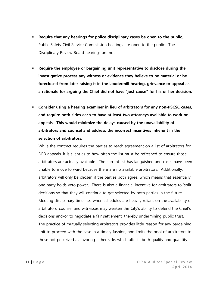- **Require that any hearings for police disciplinary cases be open to the public.**  Public Safety Civil Service Commission hearings are open to the public. The Disciplinary Review Board hearings are not.
- **Require the employee or bargaining unit representative to disclose during the investigative process any witness or evidence they believe to be material or be foreclosed from later raising it in the Loudermill hearing, grievance or appeal as a rationale for arguing the Chief did not have "just cause" for his or her decision.**
- **Consider using a hearing examiner in lieu of arbitrators for any non-PSCSC cases, and require both sides each to have at least two attorneys available to work on appeals. This would minimize the delays caused by the unavailability of arbitrators and counsel and address the incorrect incentives inherent in the selection of arbitrators.**

While the contract requires the parties to reach agreement on a list of arbitrators for DRB appeals, it is silent as to how often the list must be refreshed to ensure those arbitrators are actually available. The current list has languished and cases have been unable to move forward because there are no available arbitrators. Additionally, arbitrators will only be chosen if the parties both agree, which means that essentially one party holds veto power. There is also a financial incentive for arbitrators to 'split' decisions so that they will continue to get selected by both parties in the future. Meeting disciplinary timelines when schedules are heavily reliant on the availability of arbitrators, counsel and witnesses may weaken the City's ability to defend the Chief's decisions and/or to negotiate a fair settlement, thereby undermining public trust. The practice of mutually selecting arbitrators provides little reason for any bargaining unit to proceed with the case in a timely fashion, and limits the pool of arbitrators to those not perceived as favoring either side, which affects both quality and quantity.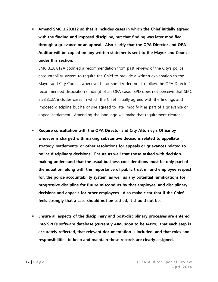**Amend SMC 3.28.812 so that it includes cases in which the Chief initially agreed with the finding and imposed discipline, but that finding was later modified through a grievance or an appeal. Also clarify that the OPA Director and OPA Auditor will be copied on any written statements sent to the Mayor and Council under this section.**

SMC 3.28.812A codified a recommendation from past reviews of the City's police accountability system to require the Chief to provide a written explanation to the Mayor and City Council whenever he or she decided not to follow the OPA Director's recommended disposition (finding) of an OPA case. SPD does not perceive that SMC 3.28.812A includes cases in which the Chief initially agreed with the findings and imposed discipline but he or she agreed to later modify it as part of a grievance or appeal settlement. Amending the language will make that requirement clearer.

- **Require consultation with the OPA Director and City Attorney's Office by whoever is charged with making substantive decisions related to appellate strategy, settlements, or other resolutions for appeals or grievances related to police disciplinary decisions. Ensure as well that those tasked with decisionmaking understand that the usual business considerations must be only part of the equation, along with the importance of public trust in, and employee respect for, the police accountability system, as well as any potential ramifications for progressive discipline for future misconduct by that employee, and disciplinary decisions and appeals for other employees. Also make clear that if the Chief feels strongly that a case should not be settled, it should not be.**
- **Ensure all aspects of the disciplinary and post-disciplinary processes are entered into SPD's software database (currently AIM, soon to be IAPro), that each step is accurately reflected, that relevant documentation is included, and that roles and responsibilities to keep and maintain these records are clearly assigned.**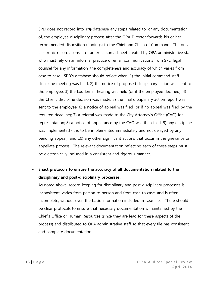SPD does not record into *any* database any steps related to, or any documentation of, the employee disciplinary process after the OPA Director forwards his or her recommended disposition (findings) to the Chief and Chain of Command. The only electronic records consist of an excel spreadsheet created by OPA administrative staff who must rely on an informal practice of email communications from SPD legal counsel for any information, the completeness and accuracy of which varies from case to case. SPD's database should reflect when: 1) the initial command staff discipline meeting was held; 2) the notice of proposed disciplinary action was sent to the employee; 3) the Loudermill hearing was held (or if the employee declined); 4) the Chief's discipline decision was made; 5) the final disciplinary action report was sent to the employee; 6) a notice of appeal was filed (or if no appeal was filed by the required deadline); 7) a referral was made to the City Attorney's Office (CAO) for representation; 8) a notice of appearance by the CAO was then filed; 9) any discipline was implemented (it is to be implemented immediately and not delayed by any pending appeal); and 10) any other significant actions that occur in the grievance or appellate process. The relevant documentation reflecting each of these steps must be electronically included in a consistent and rigorous manner.

# **Enact protocols to ensure the accuracy of all documentation related to the disciplinary and post-disciplinary processes.**

As noted above, record-keeping for disciplinary and post-disciplinary processes is inconsistent, varies from person to person and from case to case, and is often incomplete, without even the basic information included in case files. There should be clear protocols to ensure that necessary documentation is maintained by the Chief's Office or Human Resources (since they are lead for these aspects of the process) and distributed to OPA administrative staff so that every file has consistent and complete documentation.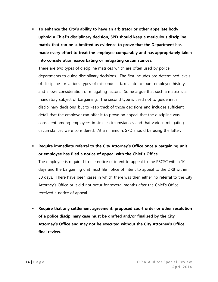**To enhance the City's ability to have an arbitrator or other appellate body uphold a Chief's disciplinary decision, SPD should keep a meticulous discipline matrix that can be submitted as evidence to prove that the Department has made every effort to treat the employee comparably and has appropriately taken into consideration exacerbating or mitigating circumstances.**

There are two types of discipline matrices which are often used by police departments to guide disciplinary decisions. The first includes pre-determined levels of discipline for various types of misconduct, takes into account employee history, and allows consideration of mitigating factors. Some argue that such a matrix is a mandatory subject of bargaining. The second type is used not to guide initial disciplinary decisions, but to keep track of those decisions and includes sufficient detail that the employer can offer it to prove on appeal that the discipline was consistent among employees in similar circumstances and that various mitigating circumstances were considered. At a minimum, SPD should be using the latter.

 **Require immediate referral to the City Attorney's Office once a bargaining unit or employee has filed a notice of appeal with the Chief's Office.** 

The employee is required to file notice of intent to appeal to the PSCSC within 10 days and the bargaining unit must file notice of intent to appeal to the DRB within 30 days. There have been cases in which there was then either no referral to the City Attorney's Office or it did not occur for several months after the Chief's Office received a notice of appeal.

 **Require that any settlement agreement, proposed court order or other resolution of a police disciplinary case must be drafted and/or finalized by the City Attorney's Office and may not be executed without the City Attorney's Office final review.**